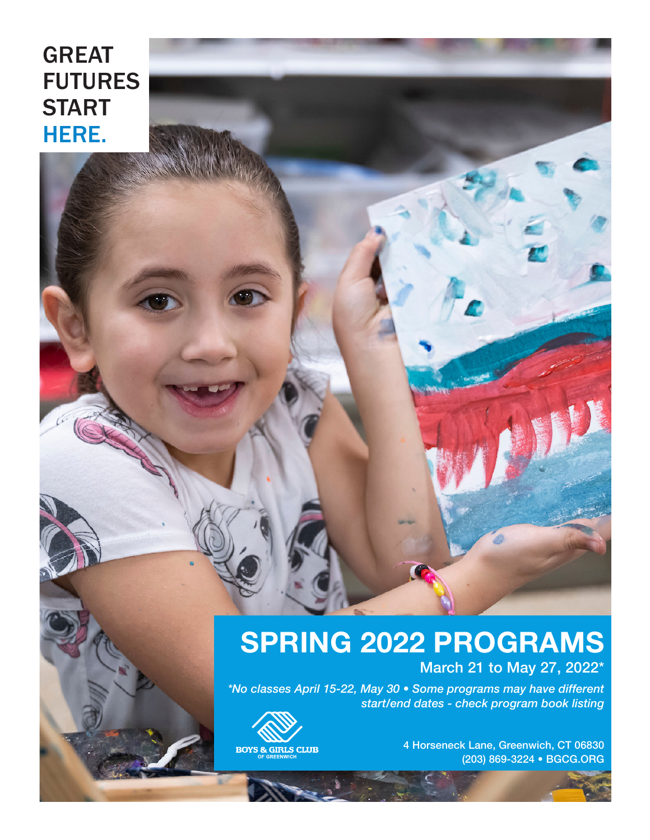# GREAT FUTURES START HERE.

# **SPRING 2022 PROGRAMS**

March 21 to May 27, 2022\*

*\*No classes April 15-22, May 30 • Some programs may have different start/end dates - check program book listing*



4 Horseneck Lane, Greenwich, CT 06830 (203) 869-3224 • BGCG.ORG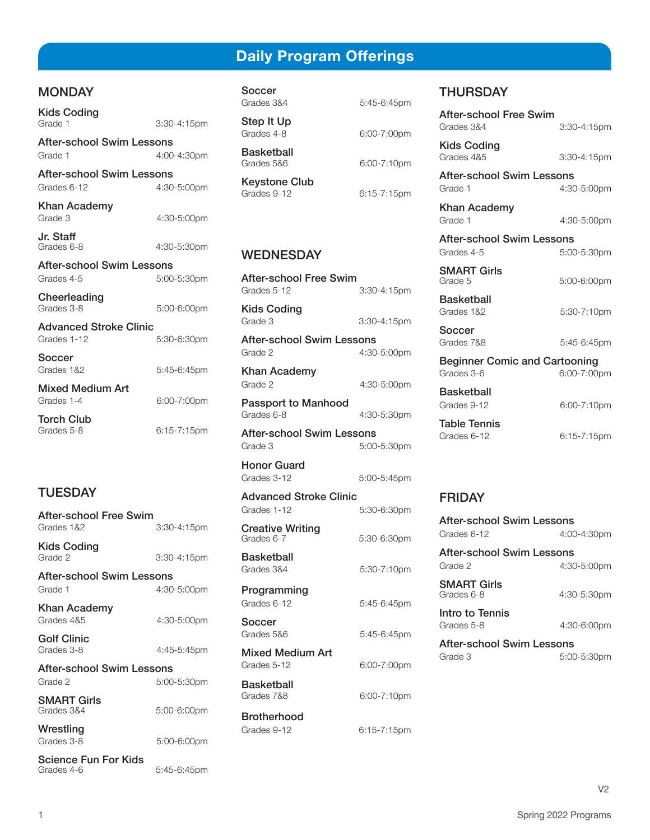# **Daily Program Offerings**

# **MONDAY**

| Kids Coding<br>Grade 1                         | 3:30-4:15pm |
|------------------------------------------------|-------------|
| After-school Swim Lessons<br>Grade 1           | 4:00-4:30pm |
| After-school Swim Lessons<br>Grades 6-12       | 4:30-5:00pm |
| Khan Academy<br>Grade 3                        | 4:30-5:00pm |
| Jr. Staff<br>Grades 6-8                        | 4:30-5:30pm |
| <b>After-school Swim Lessons</b><br>Grades 4-5 | 5:00-5:30pm |
| Cheerleading<br>Grades 3-8                     | 5:00-6:00pm |
| <b>Advanced Stroke Clinic</b><br>Grades 1-12   | 5:30-6:30pm |
| Soccer<br>Grades 1&2                           | 5:45-6:45pm |
| Mixed Medium Art<br>Grades 1-4                 | 6:00-7:00pm |
| Torch Club<br>Grades 5-8                       | 6:15-7:15pm |
|                                                |             |

# **TUESDAY**

| After-school Free Swim                    |             |
|-------------------------------------------|-------------|
| Grades 1&2                                | 3:30-4:15pm |
| Kids Coding<br>Grade 2                    | 3:30-4:15pm |
| After-school Swim Lessons                 |             |
| Grade 1                                   | 4:30-5:00pm |
| Khan Academy<br>Grades 485                | 4:30-5:00pm |
| <b>Golf Clinic</b><br>Grades 3-8          | 4:45-5:45pm |
| After-school Swim Lessons                 |             |
| Grade 2                                   | 5:00-5:30pm |
| <b>SMART Girls</b><br>Grades 3&4          | 5:00-6:00pm |
| Wrestling                                 |             |
| Grades 3-8                                | 5:00-6:00pm |
| <b>Science Fun For Kids</b><br>Grades 4-6 | 5:45-6:45pm |

Soccer Grades 3&4 5:45-6:45pm

Step It Up Grades 4-8 6:00-7:00

**Basketball**<br>Grades 5&6

**Keystone Club**<br>Grades 9-12

# WEDNESDAY

After-school Free Swim Grades 5-12 3:30-4:15pm

Kids Coding<br>Grade 3 3:30-4:15pm

After-school Swim Lessons Grade 2 4:30-5:00pm

Khan Academy Grade 2 4:30-5:00pm

**Passport to Manhood**<br>Grades 6-8 4:30-5:30pm

After-school Swim Lessons Grade 3 5:00-5:30pm

Honor Guard Grades 3-12 5:00-5:45pm

5:30-6:30pm

5:45-6:45pm

6:00-7:00pm

6:00-7:10pm

Advanced Stroke Clinic Grades 1-12 5:30-6:30pm

**Creative Writing**<br>Grades 6-7

**Basketball** Grades 3&4 5:30-7:10pm

Programming Grades 6-12 5:45-6:45pm

**Soccer**<br>Grades 586

**Mixed Medium Art**<br>Grades 5-12

**Basketball**<br>Grades 7&8

Brotherhood Grades 9-12 6:15-7:15pm

| וווטטד <sub>י</sub> ט טדיט |  |
|----------------------------|--|
|                            |  |
| 6:00-7:00pm                |  |

6:00-7:10pm

6:15-7:15pm

# **THURSDAY**

| After-school Free Swim<br>Grades 3&4 | 3:30-4:15pm |
|--------------------------------------|-------------|
| <b>Kids Coding</b><br>Grades 485     | 3:30-4:15pm |
| <b>After-school Swim Lessons</b>     |             |
| Grade 1                              | 4:30-5:00pm |
| <b>Khan Academy</b>                  |             |
| Grade 1                              | 4:30-5:00pm |
| After-school Swim Lessons            |             |
| Grades 4-5                           | 5:00-5:30pm |
| <b>SMART Girls</b><br>Grade 5        | 5:00-6:00pm |
| <b>Basketball</b><br>Grades 1&2      | 5:30-7:10pm |
| Soccer                               |             |
| Grades 7&8                           | 5:45-6:45pm |
| <b>Beginner Comic and Cartooning</b> |             |
| Grades 3-6                           | 6:00-7:00pm |
| Basketball                           |             |
| Grades 9-12                          | 6:00-7:10pm |
| <b>Table Tennis</b><br>Grades 6-12   | 6:15-7:15pm |

# FRIDAY

| After-school Swim Lessons<br>Grades 6-12 | 4:00-4:30pm    |
|------------------------------------------|----------------|
| After-school Swim Lessons<br>Grade 2     | 4:30-5:00pm    |
| <b>SMART Girls</b><br>Grades 6-8         | 4:30-5:30pm    |
| Intro to Tennis<br>Grades 5-8            | 4:30-6:00pm    |
| After-school Swim Lessons<br>Grade 3     | $5:00 - 5:30k$ |

V2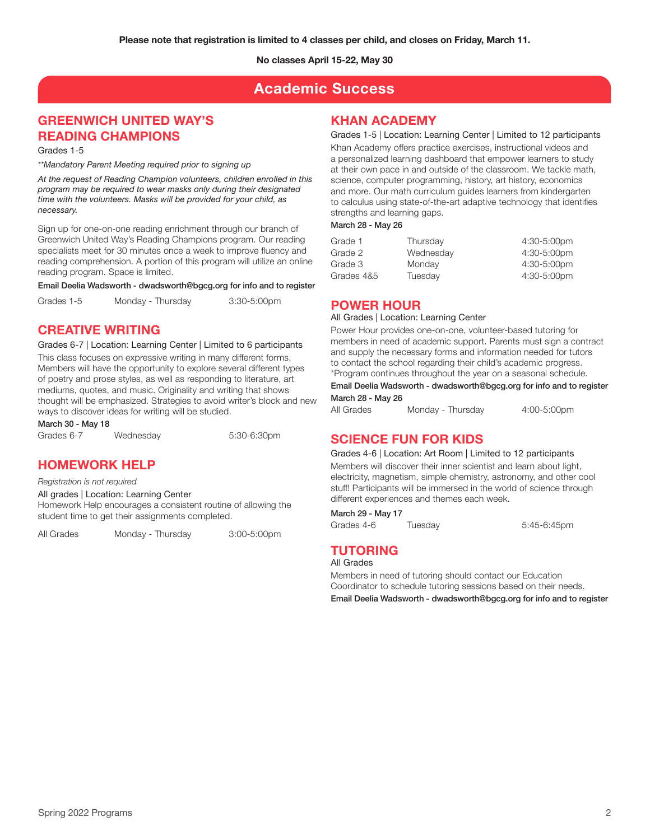# **Academic Success**

# **GREENWICH UNITED WAY'S READING CHAMPIONS**

Grades 1-5

*\*\*Mandatory Parent Meeting required prior to signing up*

*At the request of Reading Champion volunteers, children enrolled in this program may be required to wear masks only during their designated time with the volunteers. Masks will be provided for your child, as necessary.*

Sign up for one-on-one reading enrichment through our branch of Greenwich United Way's Reading Champions program. Our reading specialists meet for 30 minutes once a week to improve fluency and reading comprehension. A portion of this program will utilize an online reading program. Space is limited.

Email Deelia Wadsworth - dwadsworth@bgcg.org for info and to register

Grades 1-5 Monday - Thursday 3:30-5:00pm

# **CREATIVE WRITING**

Grades 6-7 | Location: Learning Center | Limited to 6 participants

This class focuses on expressive writing in many different forms. Members will have the opportunity to explore several different types of poetry and prose styles, as well as responding to literature, art mediums, quotes, and music. Originality and writing that shows thought will be emphasized. Strategies to avoid writer's block and new ways to discover ideas for writing will be studied.

March 30 - May 18

Grades 6-7 Wednesday 5:30-6:30pm

# **HOMEWORK HELP**

*Registration is not required*

All grades | Location: Learning Center Homework Help encourages a consistent routine of allowing the student time to get their assignments completed.

All Grades Monday - Thursday 3:00-5:00pm

# **KHAN ACADEMY**

Grades 1-5 | Location: Learning Center | Limited to 12 participants Khan Academy offers practice exercises, instructional videos and a personalized learning dashboard that empower learners to study at their own pace in and outside of the classroom. We tackle math, science, computer programming, history, art history, economics and more. Our math curriculum guides learners from kindergarten to calculus using state-of-the-art adaptive technology that identifies strengths and learning gaps.

#### March 28 - May 26

| Grade 1    | Thursday  | 4:30-5:00pm |
|------------|-----------|-------------|
| Grade 2    | Wednesday | 4:30-5:00pm |
| Grade 3    | Monday    | 4:30-5:00pm |
| Grades 4&5 | Tuesday   | 4:30-5:00pm |

### **POWER HOUR**

#### All Grades | Location: Learning Center

Power Hour provides one-on-one, volunteer-based tutoring for members in need of academic support. Parents must sign a contract and supply the necessary forms and information needed for tutors to contact the school regarding their child's academic progress. \*Program continues throughout the year on a seasonal schedule.

Email Deelia Wadsworth - dwadsworth@bgcg.org for info and to register March 28 - May 26

All Grades Monday - Thursday 4:00-5:00pm

# **SCIENCE FUN FOR KIDS**

Grades 4-6 | Location: Art Room | Limited to 12 participants Members will discover their inner scientist and learn about light, electricity, magnetism, simple chemistry, astronomy, and other cool

stuff! Participants will be immersed in the world of science through different experiences and themes each week.

March 29 - May 17

Grades 4-6 Tuesday 5:45-6:45pm

# **TUTORING**

All Grades

Members in need of tutoring should contact our Education Coordinator to schedule tutoring sessions based on their needs. Email Deelia Wadsworth - dwadsworth@bgcg.org for info and to register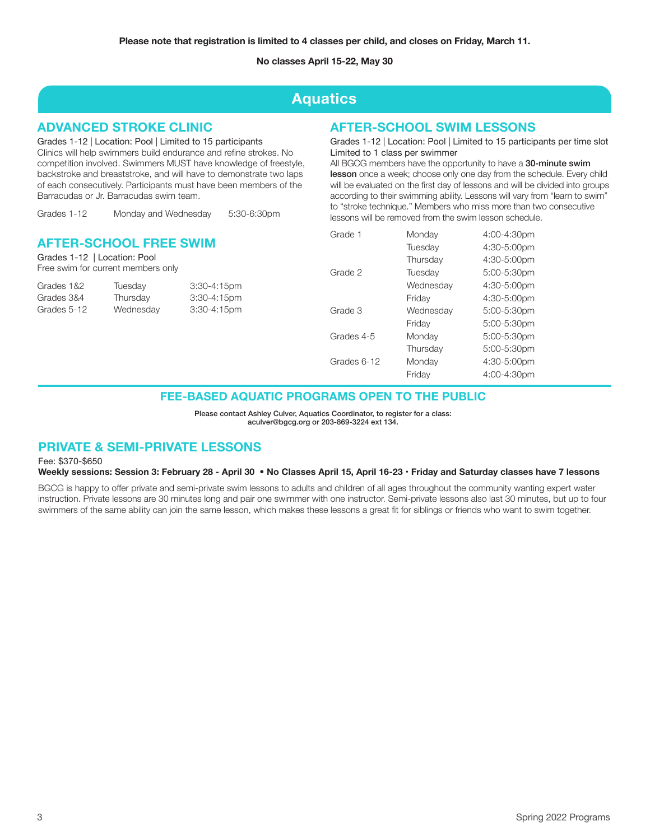# **Aquatics**

# **ADVANCED STROKE CLINIC**

Grades 1-12 | Location: Pool | Limited to 15 participants Clinics will help swimmers build endurance and refine strokes. No competition involved. Swimmers MUST have knowledge of freestyle, backstroke and breaststroke, and will have to demonstrate two laps of each consecutively. Participants must have been members of the Barracudas or Jr. Barracudas swim team.

Grades 1-12 Monday and Wednesday 5:30-6:30pm

### **AFTER-SCHOOL FREE SWIM**

Grades 1-12 | Location: Pool Free swim for current members only

| Tuesday   | $3:30 - 4:15$ pm |
|-----------|------------------|
| Thursday  | 3:30-4:15pm      |
| Wednesday | 3:30-4:15pm      |
|           |                  |

### **AFTER-SCHOOL SWIM LESSONS**

Grades 1-12 | Location: Pool | Limited to 15 participants per time slot Limited to 1 class per swimmer

All BGCG members have the opportunity to have a 30-minute swim lesson once a week; choose only one day from the schedule. Every child will be evaluated on the first day of lessons and will be divided into groups according to their swimming ability. Lessons will vary from "learn to swim" to "stroke technique." Members who miss more than two consecutive lessons will be removed from the swim lesson schedule.

| Grade 1     | Monday    | 4:00-4:30pm |
|-------------|-----------|-------------|
|             | Tuesday   | 4:30-5:00pm |
|             | Thursday  | 4:30-5:00pm |
| Grade 2     | Tuesday   | 5:00-5:30pm |
|             | Wednesdav | 4:30-5:00pm |
|             | Friday    | 4:30-5:00pm |
| Grade 3     | Wednesday | 5:00-5:30pm |
|             | Friday    | 5:00-5:30pm |
| Grades 4-5  | Monday    | 5:00-5:30pm |
|             | Thursday  | 5:00-5:30pm |
| Grades 6-12 | Monday    | 4:30-5:00pm |
|             | Friday    | 4:00-4:30pm |

### **FEE-BASED AQUATIC PROGRAMS OPEN TO THE PUBLIC**

Please contact Ashley Culver, Aquatics Coordinator, to register for a class: aculver@bgcg.org or 203-869-3224 ext 134.

# **PRIVATE & SEMI-PRIVATE LESSONS**

Fee: \$370-\$650

#### **Weekly sessions: Session 3: February 28 - April 30** • **No Classes April 15, April 16-23 • Friday and Saturday classes have 7 lessons**

BGCG is happy to offer private and semi-private swim lessons to adults and children of all ages throughout the community wanting expert water instruction. Private lessons are 30 minutes long and pair one swimmer with one instructor. Semi-private lessons also last 30 minutes, but up to four swimmers of the same ability can join the same lesson, which makes these lessons a great fit for siblings or friends who want to swim together.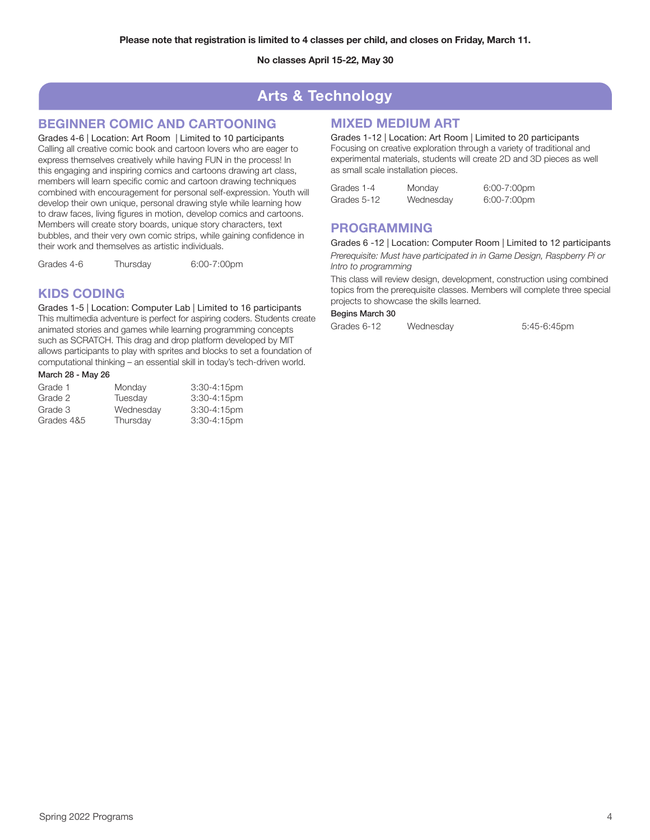# **Arts & Technology**

# **BEGINNER COMIC AND CARTOONING**

Grades 4-6 | Location: Art Room | Limited to 10 participants Calling all creative comic book and cartoon lovers who are eager to express themselves creatively while having FUN in the process! In this engaging and inspiring comics and cartoons drawing art class, members will learn specific comic and cartoon drawing techniques combined with encouragement for personal self-expression. Youth will develop their own unique, personal drawing style while learning how to draw faces, living figures in motion, develop comics and cartoons. Members will create story boards, unique story characters, text bubbles, and their very own comic strips, while gaining confidence in their work and themselves as artistic individuals.

Grades 4-6 Thursday 6:00-7:00pm

# **KIDS CODING**

Grades 1-5 | Location: Computer Lab | Limited to 16 participants This multimedia adventure is perfect for aspiring coders. Students create animated stories and games while learning programming concepts such as SCRATCH. This drag and drop platform developed by MIT allows participants to play with sprites and blocks to set a foundation of computational thinking – an essential skill in today's tech-driven world.

#### March 28 - May 26

| Grade 1    | Monday    | $3:30 - 4:15$ pm |
|------------|-----------|------------------|
| Grade 2    | Tuesdav   | $3:30-4:15$ pm   |
| Grade 3    | Wednesday | $3:30 - 4:15$ pm |
| Grades 4&5 | Thursday  | $3:30-4:15$ pm   |

# **MIXED MEDIUM ART**

Grades 1-12 | Location: Art Room | Limited to 20 participants Focusing on creative exploration through a variety of traditional and experimental materials, students will create 2D and 3D pieces as well as small scale installation pieces.

| Grades 1-4  | Monday    | $6:00-7:00$ pm |
|-------------|-----------|----------------|
| Grades 5-12 | Wednesday | 6:00-7:00pm    |

### **PROGRAMMING**

Grades 6 -12 | Location: Computer Room | Limited to 12 participants

*Prerequisite: Must have participated in in Game Design, Raspberry Pi or Intro to programming*

This class will review design, development, construction using combined topics from the prerequisite classes. Members will complete three special projects to showcase the skills learned.

### Begins March 30

Grades 6-12 Wednesday 5:45-6:45pm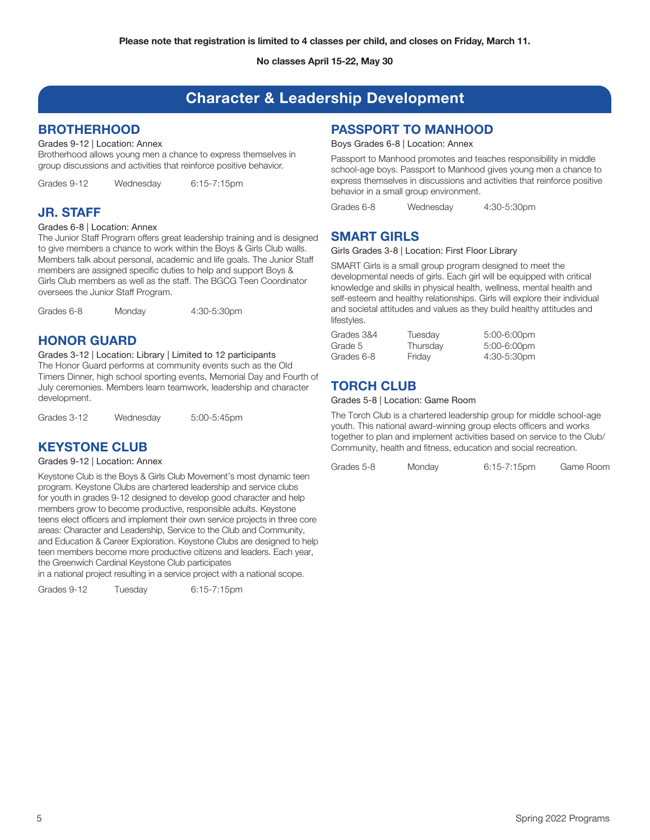# **Character & Leadership Development**

# **BROTHERHOOD**

#### Grades 9-12 | Location: Annex

Brotherhood allows young men a chance to express themselves in group discussions and activities that reinforce positive behavior.

Grades 9-12 Wednesday 6:15-7:15pm

# **JR. STAFF**

#### Grades 6-8 | Location: Annex

The Junior Staff Program offers great leadership training and is designed to give members a chance to work within the Boys & Girls Club walls. Members talk about personal, academic and life goals. The Junior Staff members are assigned specific duties to help and support Boys & Girls Club members as well as the staff. The BGCG Teen Coordinator oversees the Junior Staff Program.

Grades 6-8 Monday 4:30-5:30pm

# **HONOR GUARD**

#### Grades 3-12 | Location: Library | Limited to 12 participants

The Honor Guard performs at community events such as the Old Timers Dinner, high school sporting events, Memorial Day and Fourth of July ceremonies. Members learn teamwork, leadership and character development.

Grades 3-12 Wednesday 5:00-5:45pm

# **KEYSTONE CLUB**

#### Grades 9-12 | Location: Annex

Keystone Club is the Boys & Girls Club Movement's most dynamic teen program. Keystone Clubs are chartered leadership and service clubs for youth in grades 9-12 designed to develop good character and help members grow to become productive, responsible adults. Keystone teens elect officers and implement their own service projects in three core areas: Character and Leadership, Service to the Club and Community, and Education & Career Exploration. Keystone Clubs are designed to help teen members become more productive citizens and leaders. Each year, the Greenwich Cardinal Keystone Club participates

in a national project resulting in a service project with a national scope.

Grades 9-12 Tuesday 6:15-7:15pm

# **PASSPORT TO MANHOOD**

### Boys Grades 6-8 | Location: Annex

Passport to Manhood promotes and teaches responsibility in middle school-age boys. Passport to Manhood gives young men a chance to express themselves in discussions and activities that reinforce positive behavior in a small group environment.

Grades 6-8 Wednesday 4:30-5:30pm

# **SMART GIRLS**

#### Girls Grades 3-8 | Location: First Floor Library

SMART Girls is a small group program designed to meet the developmental needs of girls. Each girl will be equipped with critical knowledge and skills in physical health, wellness, mental health and self-esteem and healthy relationships. Girls will explore their individual and societal attitudes and values as they build healthy attitudes and lifestyles.

| Grades 3&4 | Tuesday  | $5:00-6:00$ pm |
|------------|----------|----------------|
| Grade 5    | Thursday | 5:00-6:00pm    |
| Grades 6-8 | Friday   | 4:30-5:30pm    |

# **TORCH CLUB**

#### Grades 5-8 | Location: Game Room

The Torch Club is a chartered leadership group for middle school-age youth. This national award-winning group elects officers and works together to plan and implement activities based on service to the Club/ Community, health and fitness, education and social recreation.

Grades 5-8 Monday 6:15-7:15pm Game Room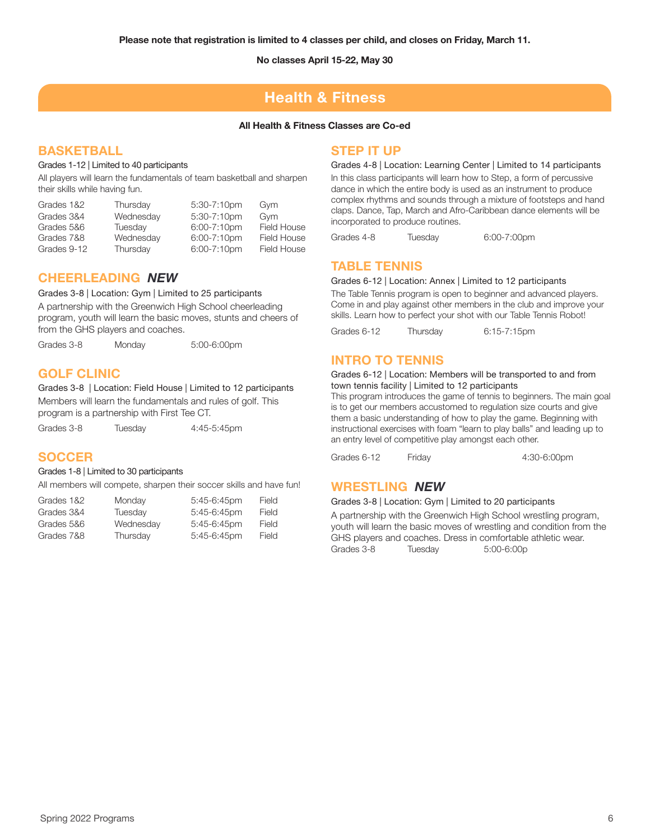# **Health & Fitness**

#### **All Health & Fitness Classes are Co-ed**

# **BASKETBALL**

#### Grades 1-12 | Limited to 40 participants

All players will learn the fundamentals of team basketball and sharpen their skills while having fun.

| Thursday  | 5:30-7:10pm      | Gym         |
|-----------|------------------|-------------|
| Wednesday | $5:30 - 7:10$ pm | Gvm         |
| Tuesday   | 6:00-7:10pm      | Field House |
| Wednesday | $6:00 - 7:10$ pm | Field House |
| Thursday  | $6:00 - 7:10$ pm | Field House |
|           |                  |             |

### **CHEERLEADING** *NEW*

#### Grades 3-8 | Location: Gym | Limited to 25 participants

A partnership with the Greenwich High School cheerleading program, youth will learn the basic moves, stunts and cheers of from the GHS players and coaches.

Grades 3-8 Monday 5:00-6:00pm

# **GOLF CLINIC**

Grades 3-8 | Location: Field House | Limited to 12 participants Members will learn the fundamentals and rules of golf. This program is a partnership with First Tee CT.

Grades 3-8 Tuesday 4:45-5:45pm

### **SOCCER**

#### Grades 1-8 | Limited to 30 participants

All members will compete, sharpen their soccer skills and have fun!

| Grades 1&2 | Monday    | $5:45-6:45$ pm | Field        |
|------------|-----------|----------------|--------------|
| Grades 3&4 | Tuesday   | $5:45-6:45$ pm | Field        |
| Grades 5&6 | Wednesday | $5:45-6:45$ pm | Field        |
| Grades 7&8 | Thursdav  | $5:45-6:45$ pm | <b>Field</b> |

### **STEP IT UP**

Grades 4-8 | Location: Learning Center | Limited to 14 participants In this class participants will learn how to Step, a form of percussive dance in which the entire body is used as an instrument to produce complex rhythms and sounds through a mixture of footsteps and hand claps. Dance, Tap, March and Afro-Caribbean dance elements will be incorporated to produce routines.

Grades 4-8 Tuesday 6:00-7:00pm

### **TABLE TENNIS**

#### Grades 6-12 | Location: Annex | Limited to 12 participants

The Table Tennis program is open to beginner and advanced players. Come in and play against other members in the club and improve your skills. Learn how to perfect your shot with our Table Tennis Robot!

Grades 6-12 Thursday 6:15-7:15pm

### **INTRO TO TENNIS**

#### Grades 6-12 | Location: Members will be transported to and from town tennis facility | Limited to 12 participants

This program introduces the game of tennis to beginners. The main goal is to get our members accustomed to regulation size courts and give them a basic understanding of how to play the game. Beginning with instructional exercises with foam "learn to play balls" and leading up to an entry level of competitive play amongst each other.

Grades 6-12 Friday 4:30-6:00pm

# **WRESTLING** *NEW*

#### Grades 3-8 | Location: Gym | Limited to 20 participants

A partnership with the Greenwich High School wrestling program, youth will learn the basic moves of wrestling and condition from the GHS players and coaches. Dress in comfortable athletic wear.<br>Grades 3-8 Tuesday 5:00-6:00p  $5:00-6:00p$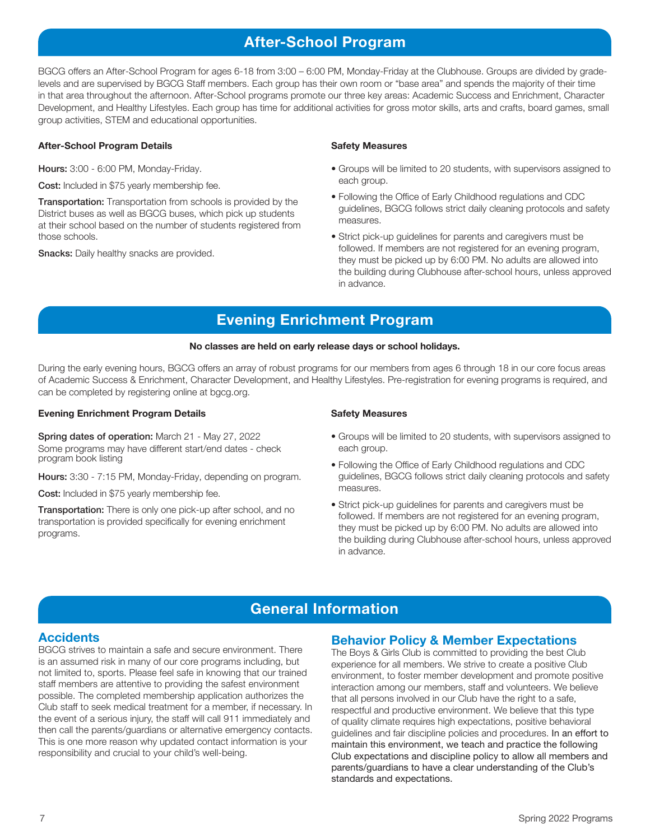# **After-School Program**

BGCG offers an After-School Program for ages 6-18 from 3:00 – 6:00 PM, Monday-Friday at the Clubhouse. Groups are divided by gradelevels and are supervised by BGCG Staff members. Each group has their own room or "base area" and spends the majority of their time in that area throughout the afternoon. After-School programs promote our three key areas: Academic Success and Enrichment, Character Development, and Healthy Lifestyles. Each group has time for additional activities for gross motor skills, arts and crafts, board games, small group activities, STEM and educational opportunities.

#### **After-School Program Details**

Hours: 3:00 - 6:00 PM, Monday-Friday.

Cost: Included in \$75 yearly membership fee.

**Transportation:** Transportation from schools is provided by the District buses as well as BGCG buses, which pick up students at their school based on the number of students registered from those schools.

**Snacks:** Daily healthy snacks are provided.

#### **Safety Measures**

- Groups will be limited to 20 students, with supervisors assigned to each group.
- Following the Office of Early Childhood regulations and CDC guidelines, BGCG follows strict daily cleaning protocols and safety measures.
- Strict pick-up guidelines for parents and caregivers must be followed. If members are not registered for an evening program, they must be picked up by 6:00 PM. No adults are allowed into the building during Clubhouse after-school hours, unless approved in advance.

# **Evening Enrichment Program**

#### **No classes are held on early release days or school holidays.**

During the early evening hours, BGCG offers an array of robust programs for our members from ages 6 through 18 in our core focus areas of Academic Success & Enrichment, Character Development, and Healthy Lifestyles. Pre-registration for evening programs is required, and can be completed by registering online at bgcg.org.

#### **Evening Enrichment Program Details**

Spring dates of operation: March 21 - May 27, 2022 Some programs may have different start/end dates - check program book listing

Hours: 3:30 - 7:15 PM, Monday-Friday, depending on program.

Cost: Included in \$75 yearly membership fee.

**Transportation:** There is only one pick-up after school, and no transportation is provided specifically for evening enrichment programs.

#### **Safety Measures**

- Groups will be limited to 20 students, with supervisors assigned to each group.
- Following the Office of Early Childhood regulations and CDC guidelines, BGCG follows strict daily cleaning protocols and safety measures.
- Strict pick-up guidelines for parents and caregivers must be followed. If members are not registered for an evening program, they must be picked up by 6:00 PM. No adults are allowed into the building during Clubhouse after-school hours, unless approved in advance.

# **General Information**

# **Accidents**

BGCG strives to maintain a safe and secure environment. There is an assumed risk in many of our core programs including, but not limited to, sports. Please feel safe in knowing that our trained staff members are attentive to providing the safest environment possible. The completed membership application authorizes the Club staff to seek medical treatment for a member, if necessary. In the event of a serious injury, the staff will call 911 immediately and then call the parents/guardians or alternative emergency contacts. This is one more reason why updated contact information is your responsibility and crucial to your child's well-being.

# **Behavior Policy & Member Expectations**

The Boys & Girls Club is committed to providing the best Club experience for all members. We strive to create a positive Club environment, to foster member development and promote positive interaction among our members, staff and volunteers. We believe that all persons involved in our Club have the right to a safe, respectful and productive environment. We believe that this type of quality climate requires high expectations, positive behavioral guidelines and fair discipline policies and procedures. In an effort to maintain this environment, we teach and practice the following Club expectations and discipline policy to allow all members and parents/guardians to have a clear understanding of the Club's standards and expectations.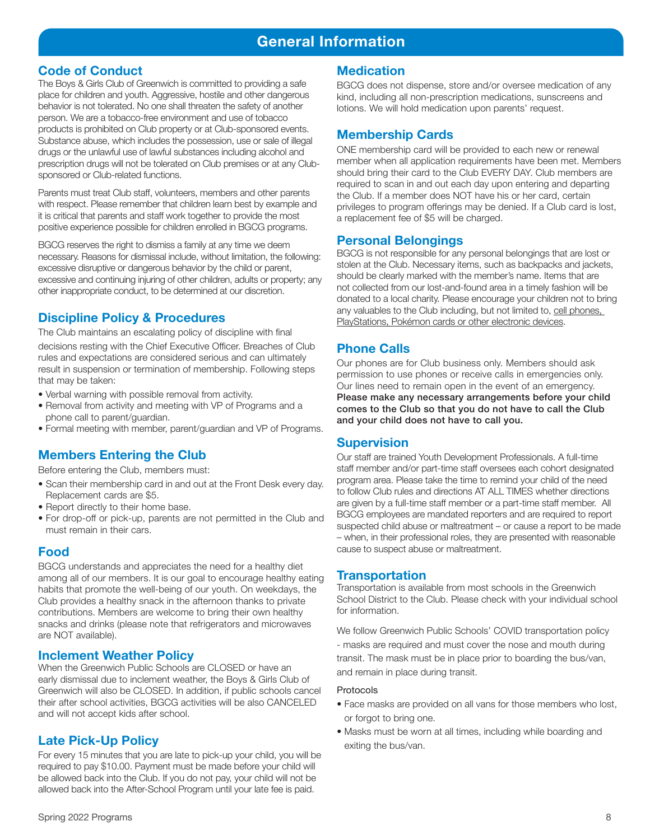# **General Information**

# **Code of Conduct**

The Boys & Girls Club of Greenwich is committed to providing a safe place for children and youth. Aggressive, hostile and other dangerous behavior is not tolerated. No one shall threaten the safety of another person. We are a tobacco-free environment and use of tobacco products is prohibited on Club property or at Club-sponsored events. Substance abuse, which includes the possession, use or sale of illegal drugs or the unlawful use of lawful substances including alcohol and prescription drugs will not be tolerated on Club premises or at any Clubsponsored or Club-related functions.

Parents must treat Club staff, volunteers, members and other parents with respect. Please remember that children learn best by example and it is critical that parents and staff work together to provide the most positive experience possible for children enrolled in BGCG programs.

BGCG reserves the right to dismiss a family at any time we deem necessary. Reasons for dismissal include, without limitation, the following: excessive disruptive or dangerous behavior by the child or parent, excessive and continuing injuring of other children, adults or property; any other inappropriate conduct, to be determined at our discretion.

# **Discipline Policy & Procedures**

The Club maintains an escalating policy of discipline with final decisions resting with the Chief Executive Officer. Breaches of Club rules and expectations are considered serious and can ultimately result in suspension or termination of membership. Following steps that may be taken:

- Verbal warning with possible removal from activity.
- Removal from activity and meeting with VP of Programs and a phone call to parent/guardian.
- Formal meeting with member, parent/guardian and VP of Programs.

# **Members Entering the Club**

Before entering the Club, members must:

- Scan their membership card in and out at the Front Desk every day. Replacement cards are \$5.
- Report directly to their home base.
- For drop-off or pick-up, parents are not permitted in the Club and must remain in their cars.

# **Food**

BGCG understands and appreciates the need for a healthy diet among all of our members. It is our goal to encourage healthy eating habits that promote the well-being of our youth. On weekdays, the Club provides a healthy snack in the afternoon thanks to private contributions. Members are welcome to bring their own healthy snacks and drinks (please note that refrigerators and microwaves are NOT available).

# **Inclement Weather Policy**

When the Greenwich Public Schools are CLOSED or have an early dismissal due to inclement weather, the Boys & Girls Club of Greenwich will also be CLOSED. In addition, if public schools cancel their after school activities, BGCG activities will be also CANCELED and will not accept kids after school.

# **Late Pick-Up Policy**

For every 15 minutes that you are late to pick-up your child, you will be required to pay \$10.00. Payment must be made before your child will be allowed back into the Club. If you do not pay, your child will not be allowed back into the After-School Program until your late fee is paid.

# **Medication**

BGCG does not dispense, store and/or oversee medication of any kind, including all non-prescription medications, sunscreens and lotions. We will hold medication upon parents' request.

# **Membership Cards**

ONE membership card will be provided to each new or renewal member when all application requirements have been met. Members should bring their card to the Club EVERY DAY. Club members are required to scan in and out each day upon entering and departing the Club. If a member does NOT have his or her card, certain privileges to program offerings may be denied. If a Club card is lost, a replacement fee of \$5 will be charged.

### **Personal Belongings**

BGCG is not responsible for any personal belongings that are lost or stolen at the Club. Necessary items, such as backpacks and jackets, should be clearly marked with the member's name. Items that are not collected from our lost-and-found area in a timely fashion will be donated to a local charity. Please encourage your children not to bring any valuables to the Club including, but not limited to, cell phones, PlayStations, Pokémon cards or other electronic devices.

# **Phone Calls**

Our phones are for Club business only. Members should ask permission to use phones or receive calls in emergencies only. Our lines need to remain open in the event of an emergency. Please make any necessary arrangements before your child comes to the Club so that you do not have to call the Club and your child does not have to call you.

### **Supervision**

Our staff are trained Youth Development Professionals. A full-time staff member and/or part-time staff oversees each cohort designated program area. Please take the time to remind your child of the need to follow Club rules and directions AT ALL TIMES whether directions are given by a full-time staff member or a part-time staff member. All BGCG employees are mandated reporters and are required to report suspected child abuse or maltreatment – or cause a report to be made – when, in their professional roles, they are presented with reasonable cause to suspect abuse or maltreatment.

### **Transportation**

Transportation is available from most schools in the Greenwich School District to the Club. Please check with your individual school for information.

We follow Greenwich Public Schools' COVID transportation policy - masks are required and must cover the nose and mouth during transit. The mask must be in place prior to boarding the bus/van, and remain in place during transit.

#### Protocols

- Face masks are provided on all vans for those members who lost, or forgot to bring one.
- Masks must be worn at all times, including while boarding and exiting the bus/van.